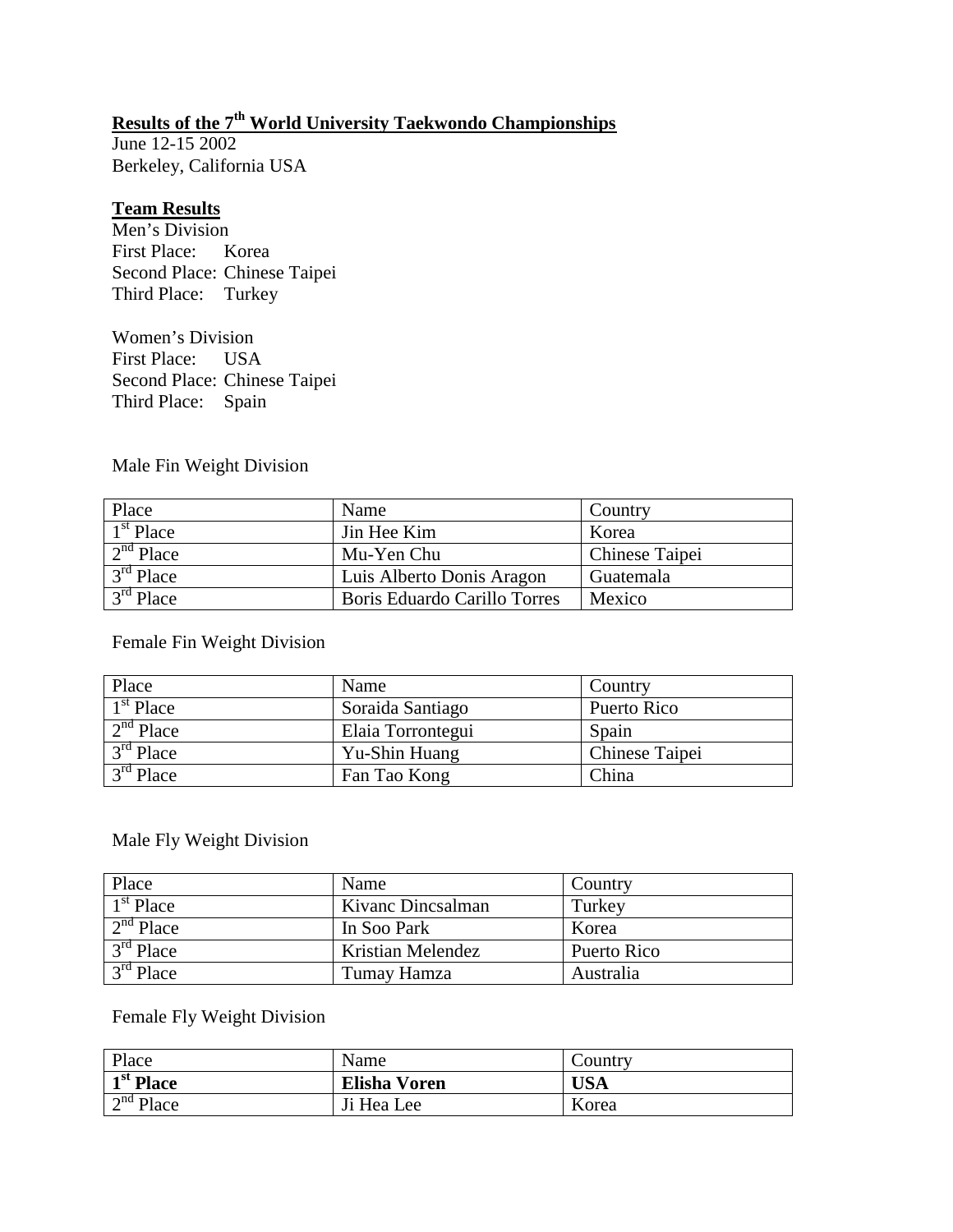# **Results of the 7th World University Taekwondo Championships**

June 12-15 2002 Berkeley, California USA

#### **Team Results**

Men's Division First Place: Korea Second Place: Chinese Taipei Third Place: Turkey

Women's Division First Place: USA Second Place: Chinese Taipei Third Place: Spain

### Male Fin Weight Division

| <b>Place</b>          | Name                         | Country        |
|-----------------------|------------------------------|----------------|
| $1st$ Place           | Jin Hee Kim                  | Korea          |
| 2 <sup>nd</sup> Place | Mu-Yen Chu                   | Chinese Taipei |
| $3rd$ Place           | Luis Alberto Donis Aragon    | Guatemala      |
| $3rd$ Place           | Boris Eduardo Carillo Torres | Mexico         |

### Female Fin Weight Division

| Place       | Name              | Country        |
|-------------|-------------------|----------------|
| $1st$ Place | Soraida Santiago  | Puerto Rico    |
| $2nd$ Place | Elaia Torrontegui | Spain          |
| $3rd$ Place | Yu-Shin Huang     | Chinese Taipei |
| $3rd$ Place | Fan Tao Kong      | China          |

### Male Fly Weight Division

| Place                | Name              | Country     |
|----------------------|-------------------|-------------|
| $1st$ Place          | Kivanc Dincsalman | Turkey      |
| $\sqrt{2^{nd}$ Place | In Soo Park       | Korea       |
| $3rd$ Place          | Kristian Melendez | Puerto Rico |
| $3rd$ Place          | Tumay Hamza       | Australia   |

### Female Fly Weight Division

| Place                                | Name                | Country    |
|--------------------------------------|---------------------|------------|
| $\overline{1^{st}$ Place             | <b>Elisha Voren</b> | <b>USA</b> |
| $\overline{\text{nd } \text{P}}$ ace | Ji Hea Lee          | Korea      |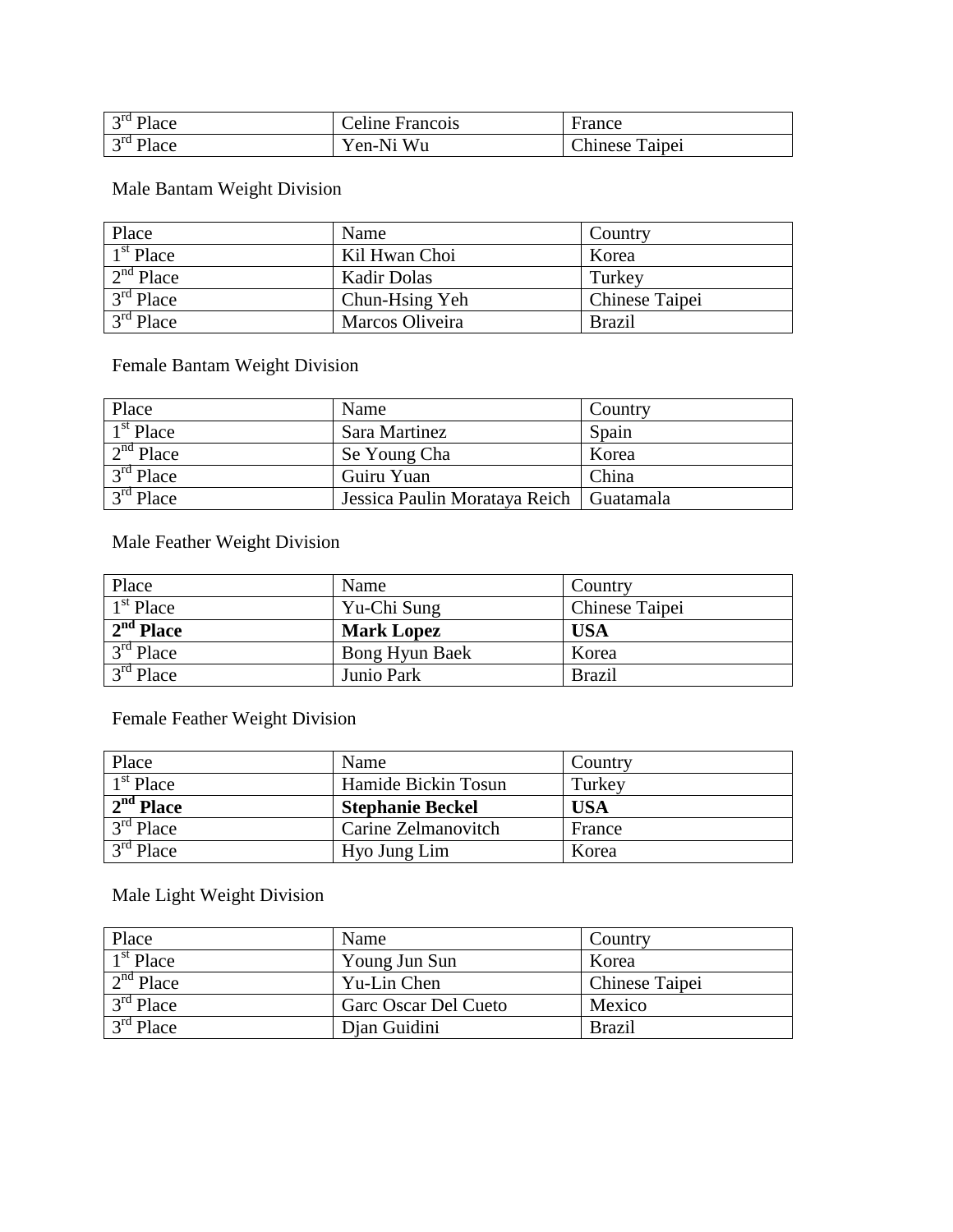| $3rd$ Place | Celine Francois | France                |
|-------------|-----------------|-----------------------|
| $3rd$ Place | Yen-Ni Wu       | <b>Chinese Taipei</b> |

# Male Bantam Weight Division

| Place                     | Name               | Country        |
|---------------------------|--------------------|----------------|
| $1st$ Place               | Kil Hwan Choi      | Korea          |
| $2nd$ Place               | <b>Kadir Dolas</b> | Turkey         |
| $3rd$ Place               | Chun-Hsing Yeh     | Chinese Taipei |
| $\overline{3^{rd}P}$ lace | Marcos Oliveira    | <b>Brazil</b>  |

Female Bantam Weight Division

| Place       | Name                                      | Country |
|-------------|-------------------------------------------|---------|
| $1st$ Place | Sara Martinez                             | Spain   |
| $2nd$ Place | Se Young Cha                              | Korea   |
| $3rd$ Place | Guiru Yuan                                | China   |
| $3rd$ Place | Jessica Paulin Morataya Reich   Guatamala |         |

Male Feather Weight Division

| Place       | Name              | Country        |
|-------------|-------------------|----------------|
| $1st$ Place | Yu-Chi Sung       | Chinese Taipei |
| $2nd$ Place | <b>Mark Lopez</b> | <b>USA</b>     |
| $3rd$ Place | Bong Hyun Baek    | Korea          |
| $3rd$ Place | Junio Park        | <b>Brazil</b>  |

Female Feather Weight Division

| Place       | Name                    | Country    |
|-------------|-------------------------|------------|
| $1st$ Place | Hamide Bickin Tosun     | Turkey     |
| $2nd$ Place | <b>Stephanie Beckel</b> | <b>USA</b> |
| $3rd$ Place | Carine Zelmanovitch     | France     |
| $3rd$ Place | Hyo Jung Lim            | Korea      |

# Male Light Weight Division

| Place                 | Name                 | Country        |
|-----------------------|----------------------|----------------|
| $1st$ Place           | Young Jun Sun        | Korea          |
| $\sqrt{2^{nd}P}$ lace | Yu-Lin Chen          | Chinese Taipei |
| $3rd$ Place           | Garc Oscar Del Cueto | Mexico         |
| $3rd$ Place           | Dian Guidini         | <b>Brazil</b>  |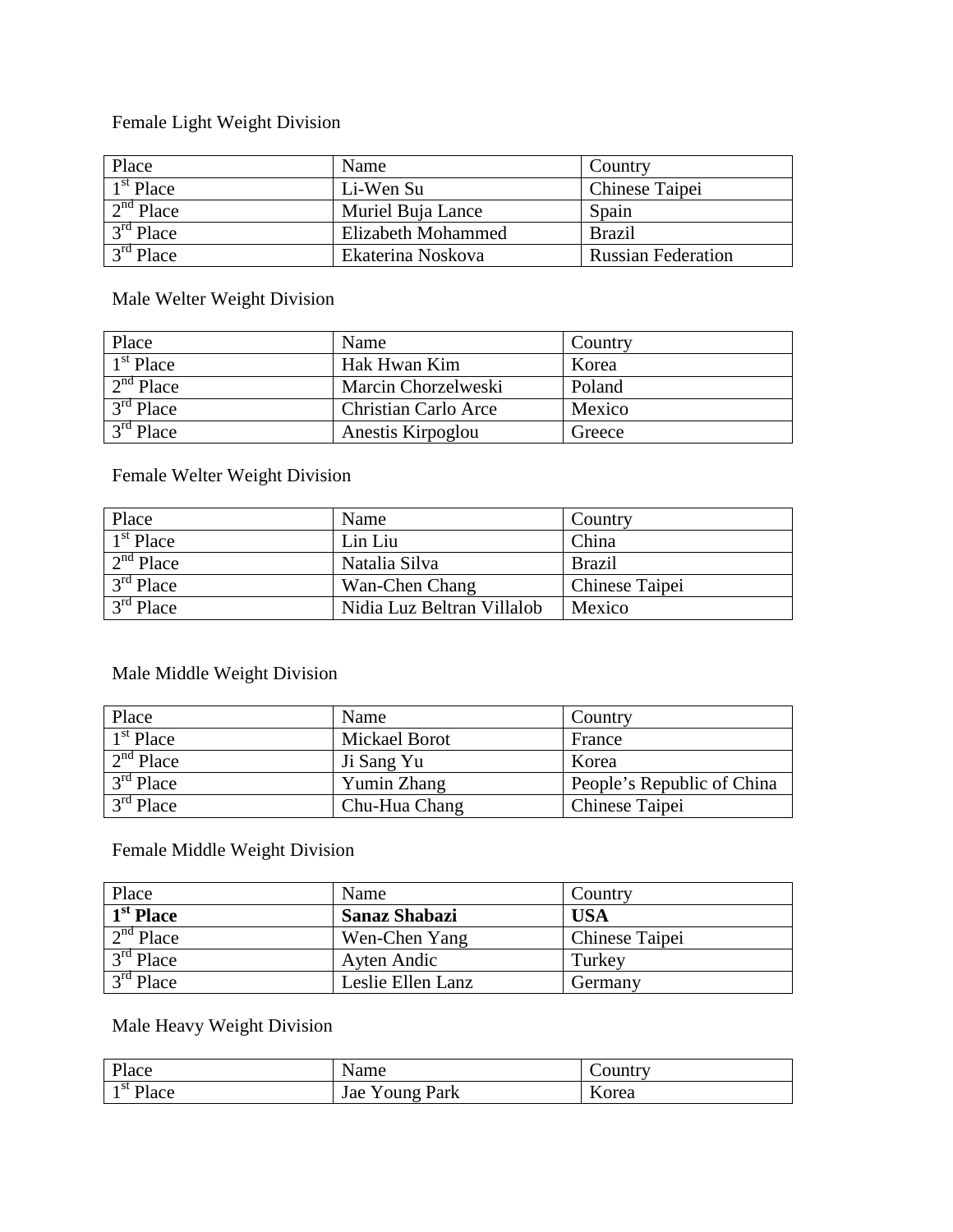# Female Light Weight Division

| Place                     | Name               | Country                   |
|---------------------------|--------------------|---------------------------|
| $\overline{1^{st}}$ Place | Li-Wen Su          | Chinese Taipei            |
| $2nd$ Place               | Muriel Buja Lance  | Spain                     |
| $3rd$ Place               | Elizabeth Mohammed | <b>Brazil</b>             |
| $\overline{3^{rd}$ Place  | Ekaterina Noskova  | <b>Russian Federation</b> |

# Male Welter Weight Division

| Place                     | Name                        | Country |
|---------------------------|-----------------------------|---------|
| $1st$ Place               | Hak Hwan Kim                | Korea   |
| $2nd$ Place               | Marcin Chorzelweski         | Poland  |
| $\overline{3^{rd}P}$ lace | <b>Christian Carlo Arce</b> | Mexico  |
| $3rd$ Place               | Anestis Kirpoglou           | Greece  |

# Female Welter Weight Division

| Place       | Name                       | Country        |
|-------------|----------------------------|----------------|
| $1st$ Place | Lin Liu                    | China          |
| $2nd$ Place | Natalia Silva              | <b>Brazil</b>  |
| $3rd$ Place | Wan-Chen Chang             | Chinese Taipei |
| $3rd$ Place | Nidia Luz Beltran Villalob | Mexico         |

# Male Middle Weight Division

| Place       | Name                 | Country                    |
|-------------|----------------------|----------------------------|
| $1st$ Place | <b>Mickael Borot</b> | France                     |
| $2nd$ Place | Ji Sang Yu           | Korea                      |
| $3rd$ Place | Yumin Zhang          | People's Republic of China |
| $3rd$ Place | Chu-Hua Chang        | Chinese Taipei             |

# Female Middle Weight Division

| Place                     | Name                 | Country        |
|---------------------------|----------------------|----------------|
| $\overline{1^{st}}$ Place | <b>Sanaz Shabazi</b> | <b>USA</b>     |
| $2nd$ Place               | Wen-Chen Yang        | Chinese Taipei |
| $3rd$ Place               | Ayten Andic          | Turkey         |
| $3rd$ Place               | Leslie Ellen Lanz    | Germany        |

# Male Heavy Weight Division

| Place                            | Name                     | Country |
|----------------------------------|--------------------------|---------|
| $\frac{\text{st}}{\text{Place}}$ | <b>Young Park</b><br>Jae | Korea   |